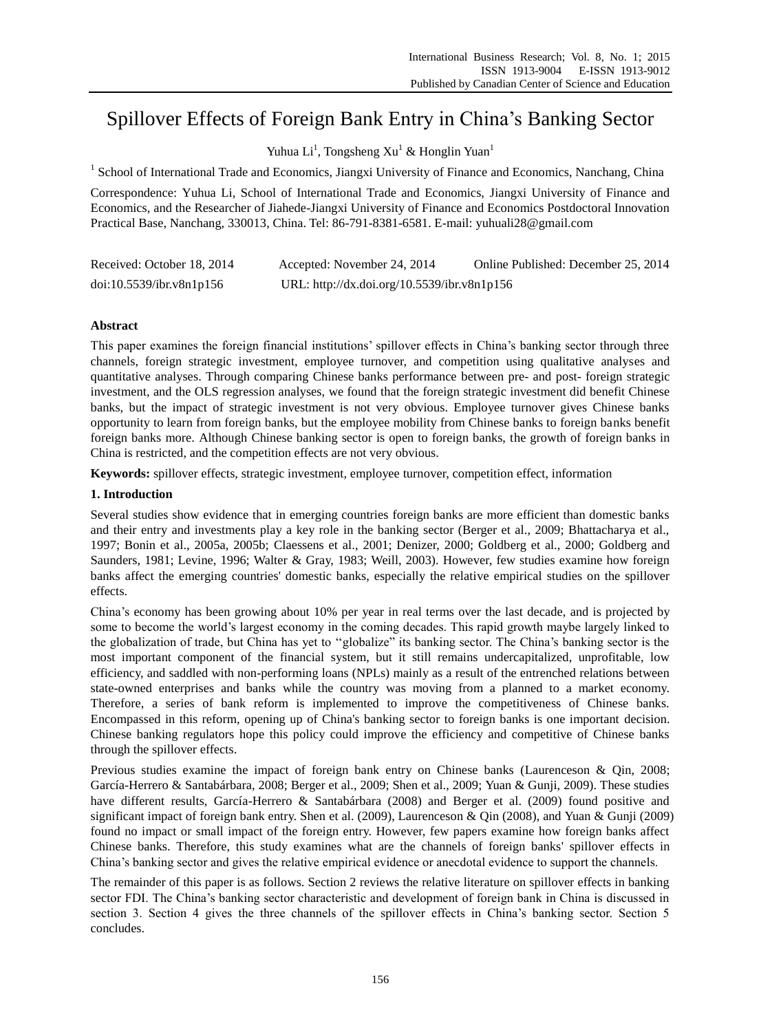# Spillover Effects of Foreign Bank Entry in China"s Banking Sector

Yuhua Li<sup>1</sup>, Tongsheng Xu<sup>1</sup> & Honglin Yuan<sup>1</sup>

<sup>1</sup> School of International Trade and Economics, Jiangxi University of Finance and Economics, Nanchang, China

Correspondence: Yuhua Li, School of International Trade and Economics, Jiangxi University of Finance and Economics, and the Researcher of Jiahede-Jiangxi University of Finance and Economics Postdoctoral Innovation Practical Base, Nanchang, 330013, China. Tel: 86-791-8381-6581. E-mail: yuhuali28@gmail.com

| Received: October 18, 2014 | Accepted: November 24, 2014                 | Online Published: December 25, 2014 |
|----------------------------|---------------------------------------------|-------------------------------------|
| doi:10.5539/ibr.v8n1p156   | URL: http://dx.doi.org/10.5539/ibr.v8n1p156 |                                     |

# **Abstract**

This paper examines the foreign financial institutions" spillover effects in China"s banking sector through three channels, foreign strategic investment, employee turnover, and competition using qualitative analyses and quantitative analyses. Through comparing Chinese banks performance between pre- and post- foreign strategic investment, and the OLS regression analyses, we found that the foreign strategic investment did benefit Chinese banks, but the impact of strategic investment is not very obvious. Employee turnover gives Chinese banks opportunity to learn from foreign banks, but the employee mobility from Chinese banks to foreign banks benefit foreign banks more. Although Chinese banking sector is open to foreign banks, the growth of foreign banks in China is restricted, and the competition effects are not very obvious.

**Keywords:** spillover effects, strategic investment, employee turnover, competition effect, information

## **1. Introduction**

Several studies show evidence that in emerging countries foreign banks are more efficient than domestic banks and their entry and investments play a key role in the banking sector (Berger et al., 2009; Bhattacharya et al., 1997; Bonin et al., 2005a, 2005b; Claessens et al., 2001; Denizer, 2000; Goldberg et al., 2000; Goldberg and Saunders, 1981; Levine, 1996; Walter & Gray, 1983; Weill, 2003). However, few studies examine how foreign banks affect the emerging countries' domestic banks, especially the relative empirical studies on the spillover effects.

China"s economy has been growing about 10% per year in real terms over the last decade, and is projected by some to become the world"s largest economy in the coming decades. This rapid growth maybe largely linked to the globalization of trade, but China has yet to ""globalize" its banking sector. The China"s banking sector is the most important component of the financial system, but it still remains undercapitalized, unprofitable, low efficiency, and saddled with non-performing loans (NPLs) mainly as a result of the entrenched relations between state-owned enterprises and banks while the country was moving from a planned to a market economy. Therefore, a series of bank reform is implemented to improve the competitiveness of Chinese banks. Encompassed in this reform, opening up of China's banking sector to foreign banks is one important decision. Chinese banking regulators hope this policy could improve the efficiency and competitive of Chinese banks through the spillover effects.

Previous studies examine the impact of foreign bank entry on Chinese banks (Laurenceson & Qin, 2008; Garc á-Herrero & Santab árbara, 2008; Berger et al., 2009; Shen et al., 2009; Yuan & Gunji, 2009). These studies have different results, Garc á-Herrero & Santabárbara (2008) and Berger et al. (2009) found positive and significant impact of foreign bank entry. Shen et al. (2009), Laurenceson & Qin (2008), and Yuan & Gunji (2009) found no impact or small impact of the foreign entry. However, few papers examine how foreign banks affect Chinese banks. Therefore, this study examines what are the channels of foreign banks' spillover effects in China"s banking sector and gives the relative empirical evidence or anecdotal evidence to support the channels.

The remainder of this paper is as follows. Section 2 reviews the relative literature on spillover effects in banking sector FDI. The China"s banking sector characteristic and development of foreign bank in China is discussed in section 3. Section 4 gives the three channels of the spillover effects in China's banking sector. Section 5 concludes.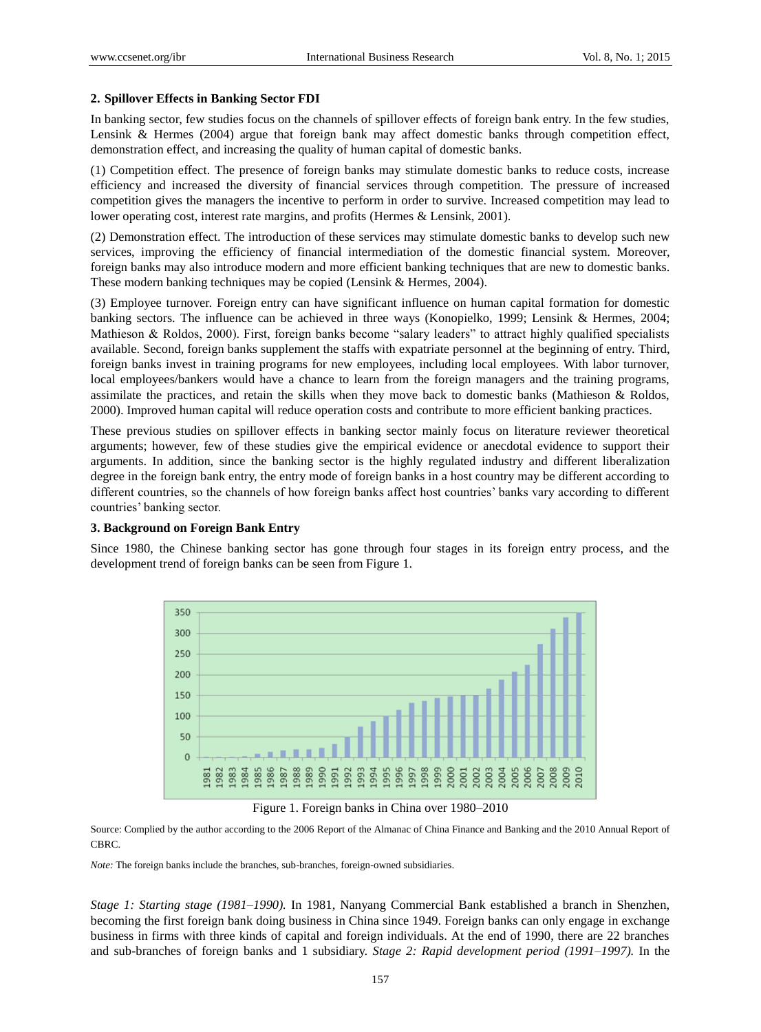#### **2. Spillover Effects in Banking Sector FDI**

In banking sector, few studies focus on the channels of spillover effects of foreign bank entry. In the few studies, Lensink & Hermes (2004) argue that foreign bank may affect domestic banks through competition effect, demonstration effect, and increasing the quality of human capital of domestic banks.

(1) Competition effect. The presence of foreign banks may stimulate domestic banks to reduce costs, increase efficiency and increased the diversity of financial services through competition. The pressure of increased competition gives the managers the incentive to perform in order to survive. Increased competition may lead to lower operating cost, interest rate margins, and profits (Hermes & Lensink, 2001).

(2) Demonstration effect. The introduction of these services may stimulate domestic banks to develop such new services, improving the efficiency of financial intermediation of the domestic financial system. Moreover, foreign banks may also introduce modern and more efficient banking techniques that are new to domestic banks. These modern banking techniques may be copied (Lensink & Hermes, 2004).

(3) Employee turnover. Foreign entry can have significant influence on human capital formation for domestic banking sectors. The influence can be achieved in three ways (Konopielko, 1999; Lensink & Hermes, 2004; Mathieson & Roldos, 2000). First, foreign banks become "salary leaders" to attract highly qualified specialists available. Second, foreign banks supplement the staffs with expatriate personnel at the beginning of entry. Third, foreign banks invest in training programs for new employees, including local employees. With labor turnover, local employees/bankers would have a chance to learn from the foreign managers and the training programs, assimilate the practices, and retain the skills when they move back to domestic banks (Mathieson & Roldos, 2000). Improved human capital will reduce operation costs and contribute to more efficient banking practices.

These previous studies on spillover effects in banking sector mainly focus on literature reviewer theoretical arguments; however, few of these studies give the empirical evidence or anecdotal evidence to support their arguments. In addition, since the banking sector is the highly regulated industry and different liberalization degree in the foreign bank entry, the entry mode of foreign banks in a host country may be different according to different countries, so the channels of how foreign banks affect host countries" banks vary according to different countries' banking sector.

#### **3. Background on Foreign Bank Entry**

Since 1980, the Chinese banking sector has gone through four stages in its foreign entry process, and the development trend of foreign banks can be seen from Figure 1.



Figure 1. Foreign banks in China over 1980–2010

Source: Complied by the author according to the 2006 Report of the Almanac of China Finance and Banking and the 2010 Annual Report of CBRC.

*Note:* The foreign banks include the branches, sub-branches, foreign-owned subsidiaries.

*Stage 1: Starting stage (1981–1990).* In 1981, Nanyang Commercial Bank established a branch in Shenzhen, becoming the first foreign bank doing business in China since 1949. Foreign banks can only engage in exchange business in firms with three kinds of capital and foreign individuals. At the end of 1990, there are 22 branches and sub-branches of foreign banks and 1 subsidiary. *Stage 2: Rapid development period (1991–1997).* In the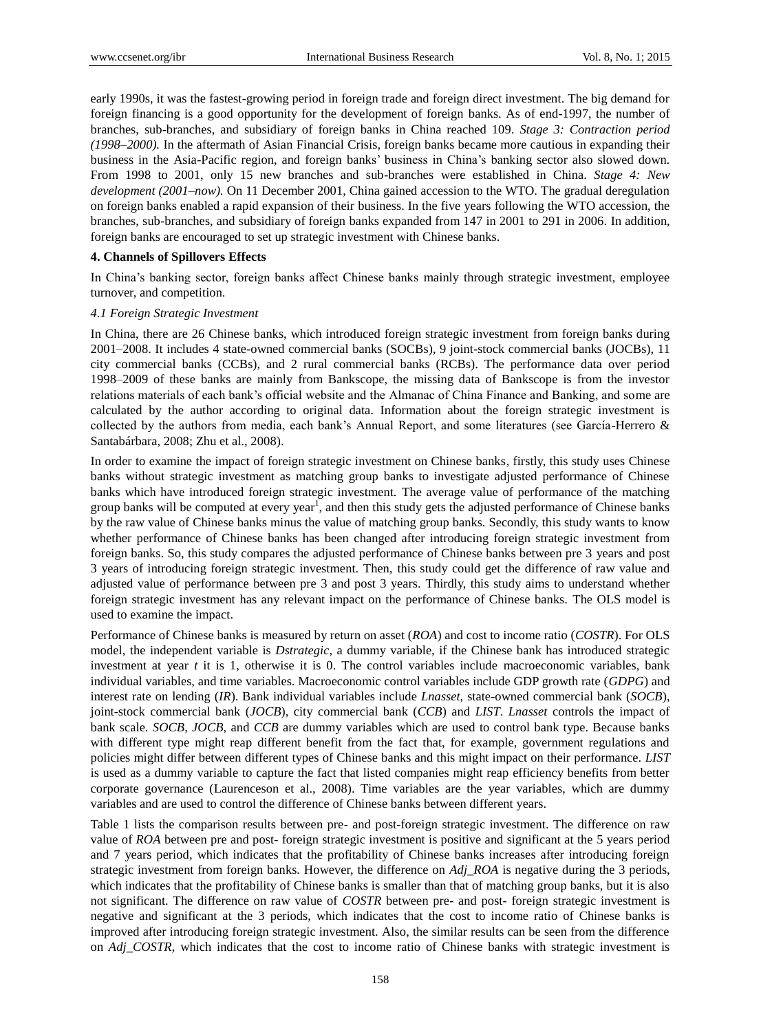early 1990s, it was the fastest-growing period in foreign trade and foreign direct investment. The big demand for foreign financing is a good opportunity for the development of foreign banks. As of end-1997, the number of branches, sub-branches, and subsidiary of foreign banks in China reached 109. *Stage 3: Contraction period (1998–2000).* In the aftermath of Asian Financial Crisis, foreign banks became more cautious in expanding their business in the Asia-Pacific region, and foreign banks" business in China"s banking sector also slowed down. From 1998 to 2001, only 15 new branches and sub-branches were established in China. *Stage 4: New development (2001–now).* On 11 December 2001, China gained accession to the WTO. The gradual deregulation on foreign banks enabled a rapid expansion of their business. In the five years following the WTO accession, the branches, sub-branches, and subsidiary of foreign banks expanded from 147 in 2001 to 291 in 2006. In addition, foreign banks are encouraged to set up strategic investment with Chinese banks.

## **4. Channels of Spillovers Effects**

In China"s banking sector, foreign banks affect Chinese banks mainly through strategic investment, employee turnover, and competition.

## *4.1 Foreign Strategic Investment*

In China, there are 26 Chinese banks, which introduced foreign strategic investment from foreign banks during 2001–2008. It includes 4 state-owned commercial banks (SOCBs), 9 joint-stock commercial banks (JOCBs), 11 city commercial banks (CCBs), and 2 rural commercial banks (RCBs). The performance data over period 1998–2009 of these banks are mainly from Bankscope, the missing data of Bankscope is from the investor relations materials of each bank"s official website and the Almanac of China Finance and Banking, and some are calculated by the author according to original data. Information about the foreign strategic investment is collected by the authors from media, each bank"s Annual Report, and some literatures (see García-Herrero & Santabárbara, 2008; Zhu et al., 2008).

In order to examine the impact of foreign strategic investment on Chinese banks, firstly, this study uses Chinese banks without strategic investment as matching group banks to investigate adjusted performance of Chinese banks which have introduced foreign strategic investment. The average value of performance of the matching group banks will be computed at every year<sup>1</sup>, and then this study gets the adjusted performance of Chinese banks by the raw value of Chinese banks minus the value of matching group banks. Secondly, this study wants to know whether performance of Chinese banks has been changed after introducing foreign strategic investment from foreign banks. So, this study compares the adjusted performance of Chinese banks between pre 3 years and post 3 years of introducing foreign strategic investment. Then, this study could get the difference of raw value and adjusted value of performance between pre 3 and post 3 years. Thirdly, this study aims to understand whether foreign strategic investment has any relevant impact on the performance of Chinese banks. The OLS model is used to examine the impact.

Performance of Chinese banks is measured by return on asset (*ROA*) and cost to income ratio (*COSTR*). For OLS model, the independent variable is *Dstrategic*, a dummy variable, if the Chinese bank has introduced strategic investment at year *t* it is 1, otherwise it is 0. The control variables include macroeconomic variables, bank individual variables, and time variables. Macroeconomic control variables include GDP growth rate (*GDPG*) and interest rate on lending (*IR*). Bank individual variables include *Lnasset*, state-owned commercial bank (*SOCB*), joint-stock commercial bank (*JOCB*), city commercial bank (*CCB*) and *LIST*. *Lnasset* controls the impact of bank scale. *SOCB*, *JOCB,* and *CCB* are dummy variables which are used to control bank type. Because banks with different type might reap different benefit from the fact that, for example, government regulations and policies might differ between different types of Chinese banks and this might impact on their performance. *LIST*  is used as a dummy variable to capture the fact that listed companies might reap efficiency benefits from better corporate governance (Laurenceson et al., 2008). Time variables are the year variables, which are dummy variables and are used to control the difference of Chinese banks between different years.

Table 1 lists the comparison results between pre- and post-foreign strategic investment. The difference on raw value of *ROA* between pre and post- foreign strategic investment is positive and significant at the 5 years period and 7 years period, which indicates that the profitability of Chinese banks increases after introducing foreign strategic investment from foreign banks. However, the difference on *Adj\_ROA* is negative during the 3 periods, which indicates that the profitability of Chinese banks is smaller than that of matching group banks, but it is also not significant. The difference on raw value of *COSTR* between pre- and post- foreign strategic investment is negative and significant at the 3 periods, which indicates that the cost to income ratio of Chinese banks is improved after introducing foreign strategic investment. Also, the similar results can be seen from the difference on *Adj\_COSTR*, which indicates that the cost to income ratio of Chinese banks with strategic investment is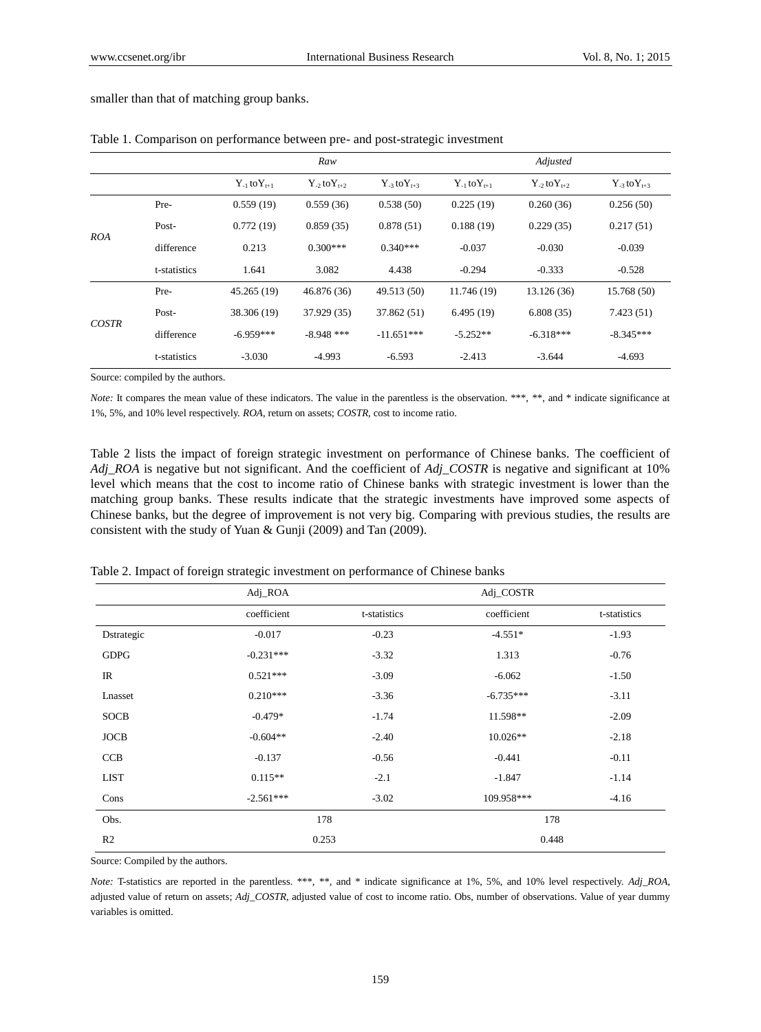|            |              |                       | Raw                   |                      | Adjusted              |                      |                       |
|------------|--------------|-----------------------|-----------------------|----------------------|-----------------------|----------------------|-----------------------|
|            |              | $Y_{-1}$ to $Y_{t+1}$ | $Y_{-2}$ to $Y_{t+2}$ | $Y_{-3}$ to $Y_{+3}$ | $Y_{-1}$ to $Y_{t+1}$ | $Y_{-2}$ to $Y_{+2}$ | $Y_{-3}$ to $Y_{t+3}$ |
| <i>ROA</i> | Pre-         | 0.559(19)             | 0.559(36)             | 0.538(50)            | 0.225(19)             | 0.260(36)            | 0.256(50)             |
|            | Post-        | 0.772(19)             | 0.859(35)             | 0.878(51)            | 0.188(19)             | 0.229(35)            | 0.217(51)             |
|            | difference   | 0.213                 | $0.300***$            | $0.340***$           | $-0.037$              | $-0.030$             | $-0.039$              |
|            | t-statistics | 1.641                 | 3.082                 | 4.438                | $-0.294$              | $-0.333$             | $-0.528$              |
| COSTR      | Pre-         | 45.265 (19)           | 46.876 (36)           | 49.513 (50)          | 11.746 (19)           | 13.126 (36)          | 15.768 (50)           |
|            | Post-        | 38.306 (19)           | 37.929 (35)           | 37.862 (51)          | 6.495(19)             | 6.808(35)            | 7.423(51)             |
|            | difference   | $-6.959***$           | $-8.948$ ***          | $-11.651***$         | $-5.252**$            | $-6.318***$          | $-8.345***$           |
|            | t-statistics | $-3.030$              | $-4.993$              | $-6.593$             | $-2.413$              | $-3.644$             | $-4.693$              |

smaller than that of matching group banks.

|  |  |  |  |  | Table 1. Comparison on performance between pre- and post-strategic investment |
|--|--|--|--|--|-------------------------------------------------------------------------------|
|--|--|--|--|--|-------------------------------------------------------------------------------|

Source: compiled by the authors.

*Note:* It compares the mean value of these indicators. The value in the parentless is the observation. \*\*\*, \*\*, and \* indicate significance at 1%, 5%, and 10% level respectively. *ROA*, return on assets; *COSTR*, cost to income ratio.

Table 2 lists the impact of foreign strategic investment on performance of Chinese banks. The coefficient of *Adj\_ROA* is negative but not significant. And the coefficient of *Adj\_COSTR* is negative and significant at 10% level which means that the cost to income ratio of Chinese banks with strategic investment is lower than the matching group banks. These results indicate that the strategic investments have improved some aspects of Chinese banks, but the degree of improvement is not very big. Comparing with previous studies, the results are consistent with the study of Yuan & Gunji (2009) and Tan (2009).

|                | $Adi$ <sub>L</sub> ROA | Adj_COSTR      |             |              |
|----------------|------------------------|----------------|-------------|--------------|
|                | coefficient            | t-statistics   | coefficient | t-statistics |
| Dstrategic     | $-0.017$               | $-0.23$        | $-4.551*$   | $-1.93$      |
| <b>GDPG</b>    | $-0.231***$            | $-3.32$        | 1.313       | $-0.76$      |
| $_{\rm IR}$    | $0.521***$             | $-3.09$        | $-6.062$    | $-1.50$      |
| Lnasset        | $0.210***$             | $-3.36$        | $-6.735***$ | $-3.11$      |
| <b>SOCB</b>    | $-0.479*$              | $-1.74$        | 11.598**    | $-2.09$      |
| <b>JOCB</b>    | $-0.604**$             | $-2.40$        | $10.026**$  | $-2.18$      |
| CCB            | $-0.137$               | $-0.56$        | $-0.441$    | $-0.11$      |
| <b>LIST</b>    | $0.115**$              | $-2.1$         | $-1.847$    | $-1.14$      |
| Cons           | $-2.561***$            | $-3.02$        | 109.958***  | $-4.16$      |
| Obs.           | 178                    |                | 178         |              |
| R <sub>2</sub> |                        | 0.253<br>0.448 |             |              |

Table 2. Impact of foreign strategic investment on performance of Chinese banks

Source: Compiled by the authors.

*Note:* T-statistics are reported in the parentless. \*\*\*, \*\*, and \* indicate significance at 1%, 5%, and 10% level respectively. *Adj\_ROA*, adjusted value of return on assets; *Adj\_COSTR*, adjusted value of cost to income ratio. Obs, number of observations. Value of year dummy variables is omitted.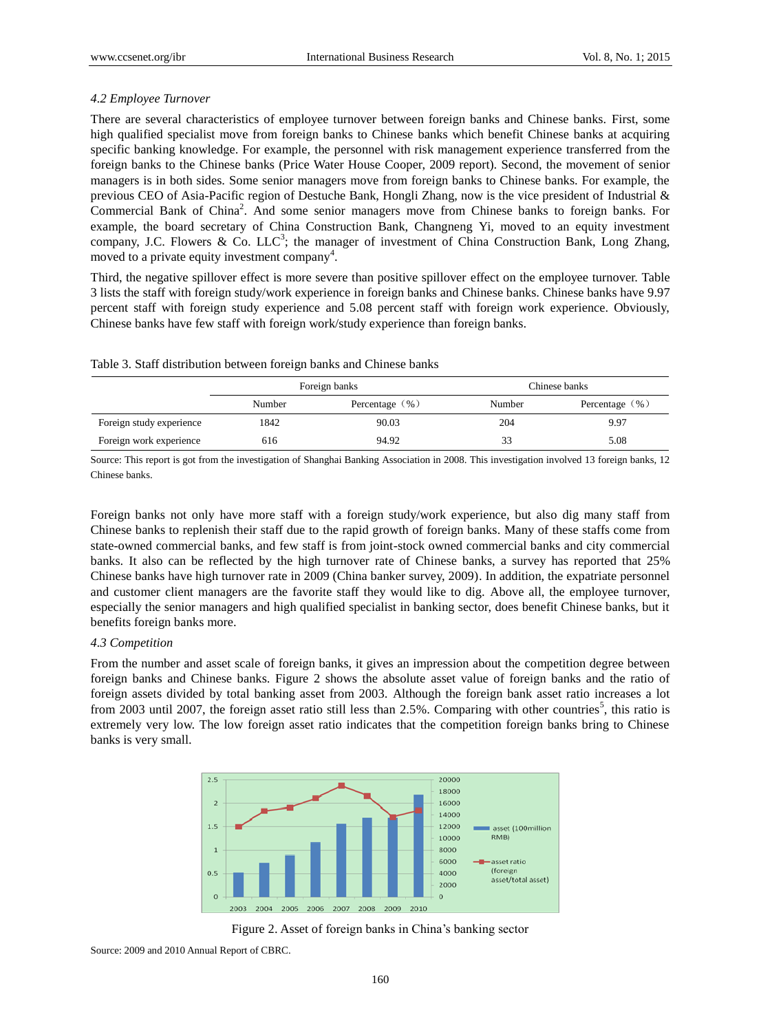## *4.2 Employee Turnover*

There are several characteristics of employee turnover between foreign banks and Chinese banks. First, some high qualified specialist move from foreign banks to Chinese banks which benefit Chinese banks at acquiring specific banking knowledge. For example, the personnel with risk management experience transferred from the foreign banks to the Chinese banks (Price Water House Cooper, 2009 report). Second, the movement of senior managers is in both sides. Some senior managers move from foreign banks to Chinese banks. For example, the previous CEO of Asia-Pacific region of Destuche Bank, Hongli Zhang, now is the vice president of Industrial & Commercial Bank of China<sup>2</sup>. And some senior managers move from Chinese banks to foreign banks. For example, the board secretary of China Construction Bank, Changneng Yi, moved to an equity investment company, J.C. Flowers & Co. LLC<sup>3</sup>; the manager of investment of China Construction Bank, Long Zhang, moved to a private equity investment company<sup>4</sup>.

Third, the negative spillover effect is more severe than positive spillover effect on the employee turnover. Table 3 lists the staff with foreign study/work experience in foreign banks and Chinese banks. Chinese banks have 9.97 percent staff with foreign study experience and 5.08 percent staff with foreign work experience. Obviously, Chinese banks have few staff with foreign work/study experience than foreign banks.

Table 3. Staff distribution between foreign banks and Chinese banks

|                          | Foreign banks |                    | Chinese banks |                    |  |
|--------------------------|---------------|--------------------|---------------|--------------------|--|
|                          | Number        | Percentage $(\% )$ | Number        | Percentage $(\% )$ |  |
| Foreign study experience | 1842          | 90.03              | 204           | 9.97               |  |
| Foreign work experience  | 616           | 94.92              | 33            | 5.08               |  |

Source: This report is got from the investigation of Shanghai Banking Association in 2008. This investigation involved 13 foreign banks, 12 Chinese banks.

Foreign banks not only have more staff with a foreign study/work experience, but also dig many staff from Chinese banks to replenish their staff due to the rapid growth of foreign banks. Many of these staffs come from state-owned commercial banks, and few staff is from joint-stock owned commercial banks and city commercial banks. It also can be reflected by the high turnover rate of Chinese banks, a survey has reported that 25% Chinese banks have high turnover rate in 2009 (China banker survey, 2009). In addition, the expatriate personnel and customer client managers are the favorite staff they would like to dig. Above all, the employee turnover, especially the senior managers and high qualified specialist in banking sector, does benefit Chinese banks, but it benefits foreign banks more.

## *4.3 Competition*

From the number and asset scale of foreign banks, it gives an impression about the competition degree between foreign banks and Chinese banks. Figure 2 shows the absolute asset value of foreign banks and the ratio of foreign assets divided by total banking asset from 2003. Although the foreign bank asset ratio increases a lot from 2003 until 2007, the foreign asset ratio still less than 2.5%. Comparing with other countries<sup>5</sup>, this ratio is extremely very low. The low foreign asset ratio indicates that the competition foreign banks bring to Chinese banks is very small.



Figure 2. Asset of foreign banks in China"s banking sector

Source: 2009 and 2010 Annual Report of CBRC.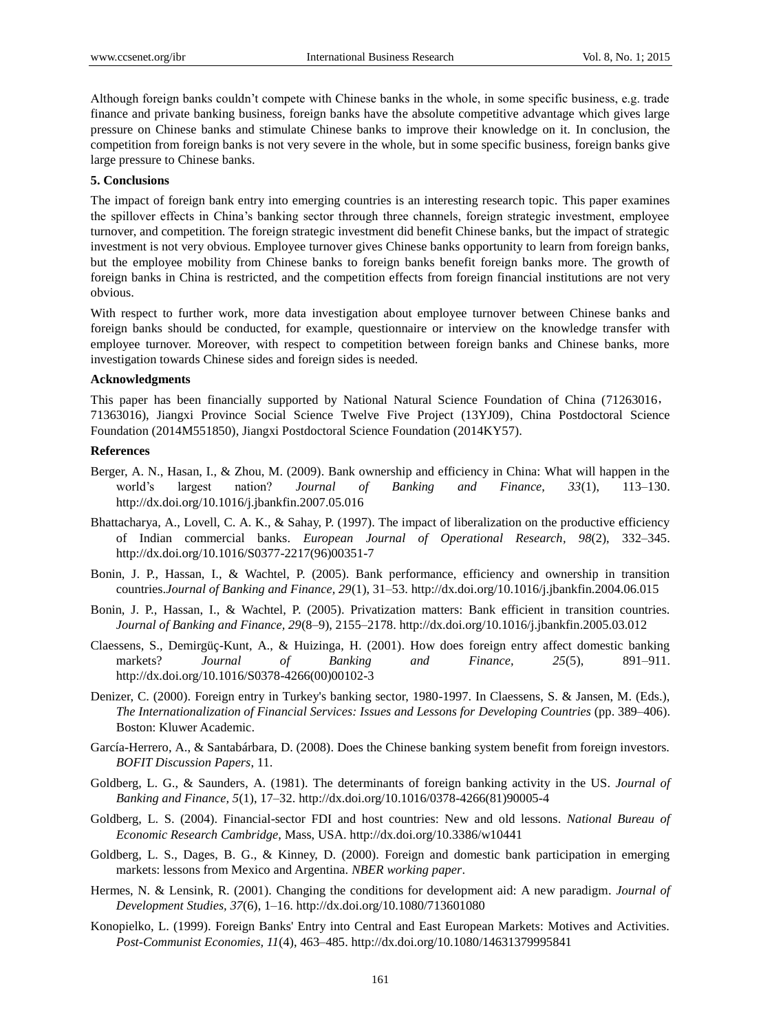Although foreign banks couldn"t compete with Chinese banks in the whole, in some specific business, e.g. trade finance and private banking business, foreign banks have the absolute competitive advantage which gives large pressure on Chinese banks and stimulate Chinese banks to improve their knowledge on it. In conclusion, the competition from foreign banks is not very severe in the whole, but in some specific business, foreign banks give large pressure to Chinese banks.

#### **5. Conclusions**

The impact of foreign bank entry into emerging countries is an interesting research topic. This paper examines the spillover effects in China"s banking sector through three channels, foreign strategic investment, employee turnover, and competition. The foreign strategic investment did benefit Chinese banks, but the impact of strategic investment is not very obvious. Employee turnover gives Chinese banks opportunity to learn from foreign banks, but the employee mobility from Chinese banks to foreign banks benefit foreign banks more. The growth of foreign banks in China is restricted, and the competition effects from foreign financial institutions are not very obvious.

With respect to further work, more data investigation about employee turnover between Chinese banks and foreign banks should be conducted, for example, questionnaire or interview on the knowledge transfer with employee turnover. Moreover, with respect to competition between foreign banks and Chinese banks, more investigation towards Chinese sides and foreign sides is needed.

#### **Acknowledgments**

This paper has been financially supported by National Natural Science Foundation of China (71263016, 71363016), Jiangxi Province Social Science Twelve Five Project (13YJ09), China Postdoctoral Science Foundation (2014M551850), Jiangxi Postdoctoral Science Foundation (2014KY57).

#### **References**

- Berger, A. N., Hasan, I., & Zhou, M. (2009). Bank ownership and efficiency in China: What will happen in the world"s largest nation? *Journal of Banking and Finance, 33*(1), 113–130. http://dx.doi.org/10.1016/j.jbankfin.2007.05.016
- Bhattacharya, A., Lovell, C. A. K., & Sahay, P. (1997). The impact of liberalization on the productive efficiency of Indian commercial banks. *European Journal of Operational Research, 98*(2), 332–345. http://dx.doi.org/10.1016/S0377-2217(96)00351-7
- Bonin, J. P., Hassan, I., & Wachtel, P. (2005). Bank performance, efficiency and ownership in transition countries.*Journal of Banking and Finance, 29*(1), 31–53. http://dx.doi.org/10.1016/j.jbankfin.2004.06.015
- Bonin, J. P., Hassan, I., & Wachtel, P. (2005). Privatization matters: Bank efficient in transition countries. *Journal of Banking and Finance, 29*(8–9), 2155–2178. http://dx.doi.org/10.1016/j.jbankfin.2005.03.012
- Claessens, S., Demirgüç-Kunt, A., & Huizinga, H. (2001). How does foreign entry affect domestic banking markets? *Journal of Banking and Finance, 25*(5), 891–911. http://dx.doi.org/10.1016/S0378-4266(00)00102-3
- Denizer, C. (2000). Foreign entry in Turkey's banking sector, 1980-1997. In Claessens, S. & Jansen, M. (Eds.), *The Internationalization of Financial Services: Issues and Lessons for Developing Countries* (pp. 389–406). Boston: Kluwer Academic.
- Garc á-Herrero, A., & Santabárbara, D. (2008). Does the Chinese banking system benefit from foreign investors. *BOFIT Discussion Papers*, 11.
- Goldberg, L. G., & Saunders, A. (1981). The determinants of foreign banking activity in the US. *Journal of Banking and Finance, 5*(1), 17–32. http://dx.doi.org/10.1016/0378-4266(81)90005-4
- Goldberg, L. S. (2004). Financial-sector FDI and host countries: New and old lessons. *National Bureau of Economic Research Cambridge*, Mass, USA. http://dx.doi.org/10.3386/w10441
- Goldberg, L. S., Dages, B. G., & Kinney, D. (2000). Foreign and domestic bank participation in emerging markets: lessons from Mexico and Argentina. *NBER working paper*.
- Hermes, N. & Lensink, R. (2001). Changing the conditions for development aid: A new paradigm. *Journal of Development Studies, 37*(6), 1–16. http://dx.doi.org/10.1080/713601080
- Konopielko, L. (1999). Foreign Banks' Entry into Central and East European Markets: Motives and Activities. *Post-Communist Economies, 11*(4), 463–485. http://dx.doi.org/10.1080/14631379995841